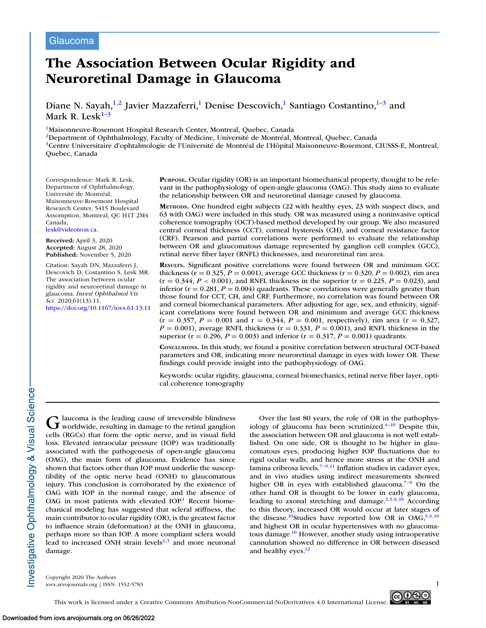# **The Association Between Ocular Rigidity and Neuroretinal Damage in Glaucoma**

Diane N. Sayah, $^{1,2}$  Javier Mazzaferri,<sup>1</sup> Denise Descovich,<sup>1</sup> Santiago Costantino,<sup>1-3</sup> and Mark R. Les $k^{1-3}$ 

<sup>1</sup>Maisonneuve-Rosemont Hospital Research Center, Montreal, Quebec, Canada

<sup>2</sup>Department of Ophthalmology, Faculty of Medicine, Université de Montréal, Montreal, Quebec, Canada

3Centre Universitaire d'ophtalmologie de l'Université de Montréal de l'Hôpital Maisonneuve-Rosemont, CIUSSS-E, Montreal, Quebec, Canada

Correspondence: Mark R. Lesk, Department of Ophthalmology, Université de Montréal, Maisonneuve-Rosemont Hospital Research Center, 5415 Boulevard Assomption, Montreal, QC H1T 2M4 Canada;

<lesk@videotron.ca>[.](mailto:.)

**Received:** April 3, 2020 **Accepted:** August 28, 2020 **Published:** November 5, 2020

Citation: Sayah DN, Mazzaferri J, Descovich D, Costantino S, Lesk MR. The association between ocular rigidity and neuroretinal damage in glaucoma. *Invest Ophthalmol Vis Sci.* 2020;61(13):11. <https://doi.org/10.1167/iovs.61.13.11>

**PURPOSE.** Ocular rigidity (OR) is an important biomechanical property, thought to be relevant in the pathophysiology of open-angle glaucoma (OAG). This study aims to evaluate the relationship between OR and neuroretinal damage caused by glaucoma.

**METHODS.** One hundred eight subjects (22 with healthy eyes, 23 with suspect discs, and 63 with OAG) were included in this study. OR was measured using a noninvasive optical coherence tomography (OCT)-based method developed by our group. We also measured central corneal thickness (CCT), corneal hysteresis (CH), and corneal resistance factor (CRF). Pearson and partial correlations were performed to evaluate the relationship between OR and glaucomatous damage represented by ganglion cell complex (GCC), retinal nerve fiber layer (RNFL) thicknesses, and neuroretinal rim area.

**RESULTS.** Significant positive correlations were found between OR and minimum GCC thickness ( $r = 0.325$ ,  $P = 0.001$ ), average GCC thickness ( $r = 0.320$ ,  $P = 0.002$ ), rim area  $(r = 0.344, P < 0.001)$ , and RNFL thickness in the superior  $(r = 0.225, P = 0.023)$ , and inferior ( $r = 0.281$ ,  $P = 0.004$ ) quadrants. These correlations were generally greater than those found for CCT, CH, and CRF. Furthermore, no correlation was found between OR and corneal biomechanical parameters. After adjusting for age, sex, and ethnicity, significant correlations were found between OR and minimum and average GCC thickness  $(r = 0.357, P = 0.001$  and  $r = 0.344, P = 0.001$ , respectively), rim area  $(r = 0.327, P = 0.001)$  $P = 0.001$ ), average RNFL thickness ( $r = 0.331$ ,  $P = 0.001$ ), and RNFL thickness in the superior ( $r = 0.296$ ,  $P = 0.003$ ) and inferior ( $r = 0.317$ ,  $P = 0.001$ ) quadrants.

**CONCLUSIONS.** In this study, we found a positive correlation between structural OCT-based parameters and OR, indicating more neuroretinal damage in eyes with lower OR. These findings could provide insight into the pathophysiology of OAG.

Keywords: ocular rigidity, glaucoma, corneal biomechanics, retinal nerve fiber layer, optical coherence tomography

Glaucoma is the leading cause of irreversible blindness<br>worldwide, resulting in damage to the retinal ganglion cells (RGCs) that form the optic nerve, and in visual field loss. Elevated intraocular pressure (IOP) was traditionally associated with the pathogenesis of open-angle glaucoma (OAG), the main form of glaucoma. Evidence has since shown that factors other than IOP must underlie the susceptibility of the optic nerve head (ONH) to glaucomatous injury. This conclusion is corroborated by the existence of OAG with IOP in the normal range, and the absence of OAG in most patients with elevated IOP.<sup>1</sup> Recent biomechanical modeling has suggested that scleral stiffness, the main contributor to ocular rigidity (OR), is the greatest factor to influence strain (deformation) at the ONH in glaucoma, perhaps more so than IOP. A more compliant sclera would lead to increased ONH strain levels $2,3$  and more neuronal damage.

Over the last 80 years, the role of OR in the pathophysiology of glaucoma has been scrutinized. $4-10$  Despite this, the association between OR and glaucoma is not well established. On one side, OR is thought to be higher in glaucomatous eyes, producing higher IOP fluctuations due to rigid ocular walls, and hence more stress at the ONH and lamina cribrosa levels.<sup>7-9,11</sup> Inflation studies in cadaver eyes, and in vivo studies using indirect measurements showed higher OR in eyes with established glaucoma.<sup>7-9</sup> On the other hand OR is thought to be lower in early glaucoma, leading to axonal stretching and damage[.2,5,6,10](#page-6-0) According to this theory, increased OR would occur at later stages of the disease.<sup>10</sup>Studies have reported low OR in OAG,<sup>5,6,10</sup> and highest OR in ocular hypertensives with no glaucomatous damage.<sup>10</sup> However, another study using intraoperative cannulation showed no difference in OR between diseased and healthy eyes.<sup>12</sup>

Copyright 2020 The Authors iovs.arvojournals.org | ISSN: 1552-5783 1

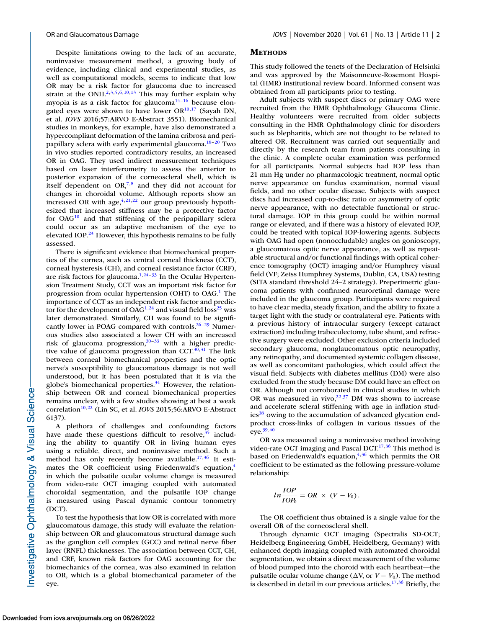Despite limitations owing to the lack of an accurate, noninvasive measurement method, a growing body of evidence, including clinical and experimental studies, as well as computational models, seems to indicate that low OR may be a risk factor for glaucoma due to increased strain at the ONH.<sup>2,3,5,6,10,13</sup> This may further explain why myopia is as a risk factor for glaucoma<sup>14–16</sup> because elongated eyes were shown to have lower OR $^{10,17}$  (Sayah DN, et al. *IOVS* 2016;57:ARVO E-Abstract 3551). Biomechanical studies in monkeys, for example, have also demonstrated a hypercompliant deformation of the lamina cribrosa and peripapillary sclera with early experimental glaucoma[.18–20](#page-6-0) Two in vivo studies reported contradictory results, an increased OR in OAG. They used indirect measurement techniques based on laser interferometry to assess the anterior to posterior expansion of the corneoscleral shell, which is itself dependent on  $OR<sub>1</sub><sup>7,8</sup>$  and they did not account for changes in choroidal volume. Although reports show an increased OR with age,  $4,21,22$  our group previously hypothesized that increased stiffness may be a protective factor for OA[G10](#page-6-0) and that stiffening of the peripapillary sclera could occur as an adaptive mechanism of the eye to elevated IOP.<sup>23</sup> However, this hypothesis remains to be fully assessed.

There is significant evidence that biomechanical properties of the cornea, such as central corneal thickness (CCT), corneal hysteresis (CH), and corneal resistance factor (CRF), are risk factors for glaucoma. $1,24-33$  $1,24-33$  In the Ocular Hypertension Treatment Study, CCT was an important risk factor for progression from ocular hypertension (OHT) to  $OAG<sup>1</sup>$ . The importance of CCT as an independent risk factor and predictor for the development of OAG<sup>1,24</sup> and visual field  $loss^{25}$  was later demonstrated. Similarly, CH was found to be significantly lower in POAG compared with controls. $26-29$  Numerous studies also associated a lower CH with an increased risk of glaucoma progression, $30-33$  with a higher predictive value of glaucoma progression than CCT. $30,31$  The link between corneal biomechanical properties and the optic nerve's susceptibility to glaucomatous damage is not well understood, but it has been postulated that it is via the globe's biomechanical properties.<sup>34</sup> However, the relationship between OR and corneal biomechanical properties remains unclear, with a few studies showing at best a weak correlation<sup>[10,22](#page-6-0)</sup> (Lin SC, et al. *IOVS* 2015;56:ARVO E-Abstract 6137).

A plethora of challenges and confounding factors have made these questions difficult to resolve, $35$  including the ability to quantify OR in living human eyes using a reliable, direct, and noninvasive method. Such a method has only recently become available[.17,](#page-6-0)[36](#page-7-0) It estimates the OR coefficient using Friedenwald's equation, $4$ in which the pulsatile ocular volume change is measured from video-rate OCT imaging coupled with automated choroidal segmentation, and the pulsatile IOP change is measured using Pascal dynamic contour tonometry (DCT).

To test the hypothesis that low OR is correlated with more glaucomatous damage, this study will evaluate the relationship between OR and glaucomatous structural damage such as the ganglion cell complex (GCC) and retinal nerve fiber layer (RNFL) thicknesses. The association between CCT, CH, and CRF, known risk factors for OAG accounting for the biomechanics of the cornea, was also examined in relation to OR, which is a global biomechanical parameter of the eye.

### **METHODS**

This study followed the tenets of the Declaration of Helsinki and was approved by the Maisonneuve-Rosemont Hospital (HMR) institutional review board. Informed consent was obtained from all participants prior to testing.

Adult subjects with suspect discs or primary OAG were recruited from the HMR Ophthalmology Glaucoma Clinic. Healthy volunteers were recruited from older subjects consulting in the HMR Ophthalmology clinic for disorders such as blepharitis, which are not thought to be related to altered OR. Recruitment was carried out sequentially and directly by the research team from patients consulting in the clinic. A complete ocular examination was performed for all participants. Normal subjects had IOP less than 21 mm Hg under no pharmacologic treatment, normal optic nerve appearance on fundus examination, normal visual fields, and no other ocular disease. Subjects with suspect discs had increased cup-to-disc ratio or asymmetry of optic nerve appearance, with no detectable functional or structural damage. IOP in this group could be within normal range or elevated, and if there was a history of elevated IOP, could be treated with topical IOP-lowering agents. Subjects with OAG had open (nonoccludable) angles on gonioscopy, a glaucomatous optic nerve appearance, as well as repeatable structural and/or functional findings with optical coherence tomography (OCT) imaging and/or Humphrey visual field (VF; Zeiss Humphrey Systems, Dublin, CA, USA) testing (SITA standard threshold 24–2 strategy). Preperimetric glaucoma patients with confirmed neuroretinal damage were included in the glaucoma group. Participants were required to have clear media, steady fixation, and the ability to fixate a target light with the study or contralateral eye. Patients with a previous history of intraocular surgery (except cataract extraction) including trabeculectomy, tube shunt, and refractive surgery were excluded. Other exclusion criteria included secondary glaucoma, nonglaucomatous optic neuropathy, any retinopathy, and documented systemic collagen disease, as well as concomitant pathologies, which could affect the visual field. Subjects with diabetes mellitus (DM) were also excluded from the study because DM could have an effect on OR. Although not corroborated in clinical studies in which OR was measured in vivo,  $2^{2,37}$  $2^{2,37}$  $2^{2,37}$  DM was shown to increase and accelerate scleral stiffening with age in inflation studies<sup>38</sup> owing to the accumulation of advanced glycation endproduct cross-links of collagen in various tissues of the eye[.39,40](#page-7-0)

OR was measured using a noninvasive method involving video-rate OCT imaging and Pascal DCT.<sup>17,[36](#page-7-0)</sup> This method is based on Friedenwald's equation,  $4,36$  $4,36$  which permits the OR coefficient to be estimated as the following pressure-volume relationship:

$$
ln \frac{IOP}{IOP_0} = OR \times (V - V_0).
$$

The OR coefficient thus obtained is a single value for the overall OR of the corneoscleral shell.

Through dynamic OCT imaging (Spectralis SD-OCT; Heidelberg Engineering GmbH, Heidelberg, Germany) with enhanced depth imaging coupled with automated choroidal segmentation, we obtain a direct measurement of the volume of blood pumped into the choroid with each heartbeat—the pulsatile ocular volume change ( $\Delta V$ , or  $V - V_0$ ). The method is described in detail in our previous articles.<sup>17,[36](#page-7-0)</sup> Briefly, the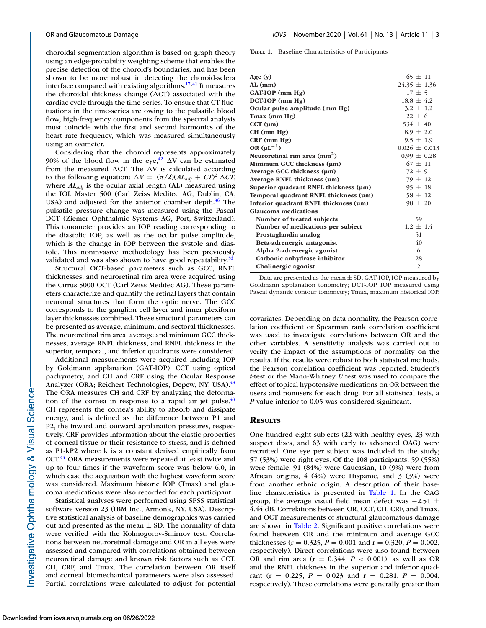<span id="page-2-0"></span>choroidal segmentation algorithm is based on graph theory using an edge-probability weighting scheme that enables the precise detection of the choroid's boundaries, and has been shown to be more robust in detecting the choroid-sclera interface compared with existing algorithms.<sup>17,[41](#page-7-0)</sup> It measures the choroidal thickness change  $(\Delta CT)$  associated with the cardiac cycle through the time-series. To ensure that CT fluctuations in the time-series are owing to the pulsatile blood flow, high-frequency components from the spectral analysis must coincide with the first and second harmonics of the heart rate frequency, which was measured simultaneously using an oximeter.

Considering that the choroid represents approximately 90% of the blood flow in the eye,<sup>42</sup>  $\Delta V$  can be estimated from the measured  $\Delta$ CT. The  $\Delta$ V is calculated according to the following equation:  $\Delta V = (\pi/2)(AL_{adj} + CT)^2 \Delta CT$ , where *ALadj* is the ocular axial length (AL) measured using the IOL Master 500 (Carl Zeiss Meditec AG, Dublin, CA, USA) and adjusted for the anterior chamber depth. $36$  The pulsatile pressure change was measured using the Pascal DCT (Ziemer Ophthalmic Systems AG, Port, Switzerland). This tonometer provides an IOP reading corresponding to the diastolic IOP, as well as the ocular pulse amplitude, which is the change in IOP between the systole and diastole. This noninvasive methodology has been previously validated and was also shown to have good repeatability. $36$ 

Structural OCT-based parameters such as GCC, RNFL thicknesses, and neuroretinal rim area were acquired using the Cirrus 5000 OCT (Carl Zeiss Meditec AG). These parameters characterize and quantify the retinal layers that contain neuronal structures that form the optic nerve. The GCC corresponds to the ganglion cell layer and inner plexiform layer thicknesses combined. These structural parameters can be presented as average, minimum, and sectoral thicknesses. The neuroretinal rim area, average and minimum GCC thicknesses, average RNFL thickness, and RNFL thickness in the superior, temporal, and inferior quadrants were considered.

Additional measurements were acquired including IOP by Goldmann applanation (GAT-IOP), CCT using optical pachymetry, and CH and CRF using the Ocular Response Analyzer (ORA; Reichert Technologies, Depew, NY, USA).<sup>43</sup> The ORA measures CH and CRF by analyzing the deformation of the cornea in response to a rapid air jet pulse. $43$ CH represents the cornea's ability to absorb and dissipate energy, and is defined as the difference between P1 and P2, the inward and outward applanation pressures, respectively. CRF provides information about the elastic properties of corneal tissue or their resistance to stress, and is defined as P1-kP2 where k is a constant derived empirically from CCT.<sup>44</sup> ORA measurements were repeated at least twice and up to four times if the waveform score was below 6.0, in which case the acquisition with the highest waveform score was considered. Maximum historic IOP (Tmax) and glaucoma medications were also recorded for each participant.

Statistical analyses were performed using SPSS statistical software version 23 (IBM Inc., Armonk, NY, USA). Descriptive statistical analysis of baseline demographics was carried out and presented as the mean  $\pm$  SD. The normality of data were verified with the Kolmogorov-Smirnov test. Correlations between neuroretinal damage and OR in all eyes were assessed and compared with correlations obtained between neuroretinal damage and known risk factors such as CCT, CH, CRF, and Tmax. The correlation between OR itself and corneal biomechanical parameters were also assessed. Partial correlations were calculated to adjust for potential

**TABLE 1.** Baseline Characteristics of Participants

| Age $(y)$                                | $65 \pm 11$       |
|------------------------------------------|-------------------|
| $AL$ (mm)                                | $24.35 \pm 1.36$  |
| GAT-IOP (mm Hg)                          | $17 \pm 5$        |
| DCT-IOP (mm Hg)                          | $18.8 \pm 4.2$    |
| Ocular pulse amplitude (mm Hg)           | $3.2 \pm 1.2$     |
| Tmax (mm Hg)                             | $22 + 6$          |
| $CCT$ ( $\mu$ m)                         | $534 \pm 40$      |
| CH (mm Hg)                               | $8.9 \pm 2.0$     |
| $CRF$ (mm $Hg$ )                         | $9.5 \pm 1.9$     |
| OR $(\mu L^{-1})$                        | $0.026 \pm 0.013$ |
| Neuroretinal rim area (mm <sup>2</sup> ) | $0.99 \pm 0.28$   |
| Minimum GCC thickness (µm)               | $67 \pm 11$       |
| Average GCC thickness (µm)               | $72 \pm 9$        |
| Average RNFL thickness (µm)              | $79 \pm 12$       |
| Superior quadrant RNFL thickness (µm)    | $95 \pm 18$       |
| Temporal quadrant RNFL thickness (µm)    | $58 \pm 12$       |
| Inferior quadrant RNFL thickness (um)    | $98 \pm 20$       |
| Glaucoma medications                     |                   |
| Number of treated subjects               | 59                |
| Number of medications per subject        | $1.2 \pm 1.4$     |
| Prostaglandin analog                     | 51                |
| Beta-adrenergic antagonist               | 40                |
| Alpha 2-adrenergic agonist               | 6                 |
| Carbonic anhydrase inhibitor             | 28                |
| Cholinergic agonist                      | $\overline{2}$    |
|                                          |                   |

Data are presented as the mean  $\pm$  SD. GAT-IOP, IOP measured by Goldmann applanation tonometry; DCT-IOP, IOP measured using Pascal dynamic contour tonometry; Tmax, maximum historical IOP.

covariates. Depending on data normality, the Pearson correlation coefficient or Spearman rank correlation coefficient was used to investigate correlations between OR and the other variables. A sensitivity analysis was carried out to verify the impact of the assumptions of normality on the results. If the results were robust to both statistical methods, the Pearson correlation coefficient was reported. Student's *t*-test or the Mann-Whitney *U* test was used to compare the effect of topical hypotensive medications on OR between the users and nonusers for each drug. For all statistical tests, a *P* value inferior to 0.05 was considered significant.

### **RESULTS**

One hundred eight subjects (22 with healthy eyes, 23 with suspect discs, and 63 with early to advanced OAG) were recruited. One eye per subject was included in the study; 57 (53%) were right eyes. Of the 108 participants, 59 (55%) were female, 91 (84%) were Caucasian, 10 (9%) were from African origins, 4 (4%) were Hispanic, and 3 (3%) were from another ethnic origin. A description of their baseline characteristics is presented in Table 1. In the OAG group, the average visual field mean defect was −2.51 ± 4.44 dB. Correlations between OR, CCT, CH, CRF, and Tmax, and OCT measurements of structural glaucomatous damage are shown in [Table 2.](#page-3-0) Significant positive correlations were found between OR and the minimum and average GCC thicknesses ( $r = 0.325$ ,  $P = 0.001$  and  $r = 0.320$ ,  $P = 0.002$ , respectively). Direct correlations were also found between OR and rim area  $(r = 0.344, P < 0.001)$ , as well as OR and the RNFL thickness in the superior and inferior quadrant (r = 0.225,  $P = 0.023$  and r = 0.281,  $P = 0.004$ , respectively). These correlations were generally greater than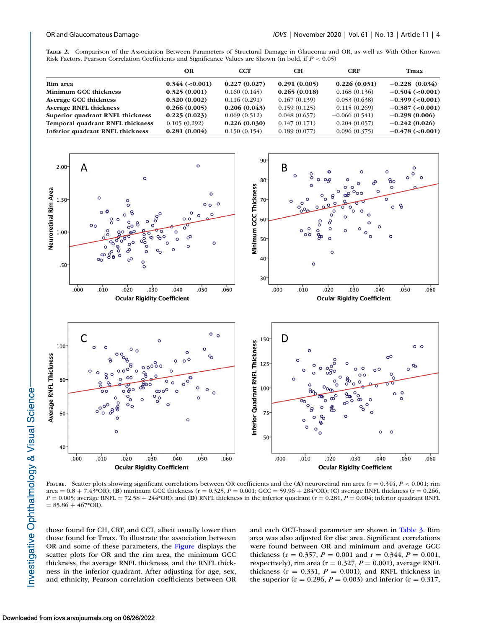<span id="page-3-0"></span>**TABLE 2.** Comparison of the Association Between Parameters of Structural Damage in Glaucoma and OR, as well as With Other Known Risk Factors. Pearson Correlation Coefficients and Significance Values are Shown (in bold, if *P* < 0.05)

|                                         | <b>OR</b>        | <b>CCT</b>   | CН           | <b>CRF</b>      | Tmax              |
|-----------------------------------------|------------------|--------------|--------------|-----------------|-------------------|
| Rim area                                | $0.344$ (<0.001) | 0.227(0.027) | 0.291(0.005) | 0.226(0.031)    | $-0.228(0.034)$   |
| <b>Minimum GCC thickness</b>            | 0.325(0.001)     | 0.160(0.145) | 0.265(0.018) | 0.168(0.136)    | $-0.504$ (<0.001) |
| <b>Average GCC thickness</b>            | 0.320(0.002)     | 0.116(0.291) | 0.167(0.139) | 0.053(0.638)    | $-0.399$ (<0.001) |
| <b>Average RNFL thickness</b>           | 0.266(0.005)     | 0.206(0.043) | 0.159(0.125) | 0.115(0.269)    | $-0.387$ (<0.001) |
| Superior quadrant RNFL thickness        | 0.225(0.023)     | 0.069(0.512) | 0.048(0.657) | $-0.066(0.541)$ | $-0.298(0.006)$   |
| <b>Temporal quadrant RNFL thickness</b> | 0.105(0.292)     | 0.226(0.030) | 0.147(0.171) | 0.204(0.057)    | $-0.242(0.026)$   |
| <b>Inferior quadrant RNFL thickness</b> | 0.281(0.004)     | 0.150(0.154) | 0.189(0.077) | 0.096(0.375)    | $-0.478$ (<0.001) |



**FIGURE.** Scatter plots showing significant correlations between OR coefficients and the (A) neuroretinal rim area ( $r = 0.344$ ,  $P < 0.001$ ; rim area = 0.8 + 7.43\*OR); (**B**) minimum GCC thickness (r = 0.325, *P* = 0.001; GCC = 59.96 + 284\*OR); (**C**) average RNFL thickness (r = 0.266,  $P = 0.005$ ; average RNFL = 72.58 + 244\*OR); and (**D**) RNFL thickness in the inferior quadrant ( $r = 0.281$ ,  $P = 0.004$ ; inferior quadrant RNFL  $= 85.86 + 467$ <sup>\*</sup>OR).

those found for CH, CRF, and CCT, albeit usually lower than those found for Tmax. To illustrate the association between OR and some of these parameters, the Figure displays the scatter plots for OR and the rim area, the minimum GCC thickness, the average RNFL thickness, and the RNFL thickness in the inferior quadrant. After adjusting for age, sex, and ethnicity, Pearson correlation coefficients between OR and each OCT-based parameter are shown in [Table 3.](#page-4-0) Rim area was also adjusted for disc area. Significant correlations were found between OR and minimum and average GCC thickness ( $r = 0.357$ ,  $P = 0.001$  and  $r = 0.344$ ,  $P = 0.001$ , respectively), rim area ( $r = 0.327$ ,  $P = 0.001$ ), average RNFL thickness ( $r = 0.331$ ,  $P = 0.001$ ), and RNFL thickness in the superior ( $r = 0.296$ ,  $P = 0.003$ ) and inferior ( $r = 0.317$ ,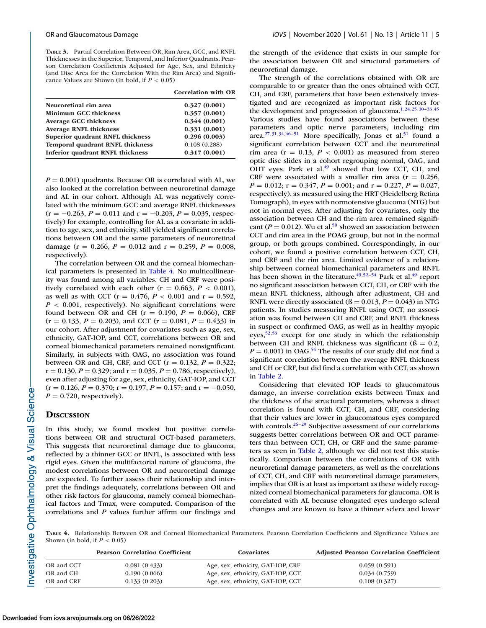<span id="page-4-0"></span>**TABLE 3.** Partial Correlation Between OR, Rim Area, GCC, and RNFL Thicknesses in the Superior, Temporal, and Inferior Quadrants. Pearson Correlation Coefficients Adjusted for Age, Sex, and Ethnicity (and Disc Area for the Correlation With the Rim Area) and Significance Values are Shown (in bold, if *P* < 0.05)

| <b>Correlation with OR</b> |
|----------------------------|
| 0.327(0.001)               |
| 0.357(0.001)               |
| 0.344(0.001)               |
| 0.331(0.001)               |
| 0.296(0.003)               |
| 0.108(0.288)               |
| 0.317(0.001)               |
|                            |

 $P = 0.001$ ) quadrants. Because OR is correlated with AL, we also looked at the correlation between neuroretinal damage and AL in our cohort. Although AL was negatively correlated with the minimum GCC and average RNFL thicknesses  $(r = -0.263, P = 0.011$  and  $r = -0.203, P = 0.035$ , respectively) for example, controlling for AL as a covariate in addition to age, sex, and ethnicity, still yielded significant correlations between OR and the same parameters of neuroretinal damage ( $r = 0.266$ ,  $P = 0.012$  and  $r = 0.259$ ,  $P = 0.008$ , respectively).

The correlation between OR and the corneal biomechanical parameters is presented in Table 4. No multicollinearity was found among all variables. CH and CRF were positively correlated with each other  $(r = 0.663, P < 0.001)$ , as well as with CCT ( $r = 0.476$ ,  $P < 0.001$  and  $r = 0.592$ ,  $P < 0.001$ , respectively). No significant correlations were found between OR and CH ( $r = 0.190$ ,  $P = 0.066$ ), CRF  $(r = 0.133, P = 0.203)$ , and CCT  $(r = 0.081, P = 0.433)$  in our cohort. After adjustment for covariates such as age, sex, ethnicity, GAT-IOP, and CCT, correlations between OR and corneal biomechanical parameters remained nonsignificant. Similarly, in subjects with OAG, no association was found between OR and CH, CRF, and CCT ( $r = 0.132$ ,  $P = 0.322$ ;  $r = 0.130, P = 0.329$ ; and  $r = 0.035, P = 0.786$ , respectively), even after adjusting for age, sex, ethnicity, GAT-IOP, and CCT (r = 0.126, *P* = 0.370; r = 0.197, *P* = 0.157; and r = −0.050,  $P = 0.720$ , respectively).

# **DISCUSSION**

In this study, we found modest but positive correlations between OR and structural OCT-based parameters. This suggests that neuroretinal damage due to glaucoma, reflected by a thinner GCC or RNFL, is associated with less rigid eyes. Given the multifactorial nature of glaucoma, the modest correlations between OR and neuroretinal damage are expected. To further assess their relationship and interpret the findings adequately, correlations between OR and other risk factors for glaucoma, namely corneal biomechanical factors and Tmax, were computed. Comparison of the correlations and *P* values further affirm our findings and the strength of the evidence that exists in our sample for the association between OR and structural parameters of neuroretinal damage.

The strength of the correlations obtained with OR are comparable to or greater than the ones obtained with CCT, CH, and CRF, parameters that have been extensively investigated and are recognized as important risk factors for the development and progression of glaucoma.<sup>1,24,25,[30–33,45](#page-7-0)</sup> Various studies have found associations between these parameters and optic nerve parameters, including rim area.<sup>27,31,34,46-51</sup> More specifically, Jonas et al.<sup>51</sup> found a significant correlation between CCT and the neuroretinal rim area ( $r = 0.13$ ,  $P < 0.001$ ) as measured from stereo optic disc slides in a cohort regrouping normal, OAG, and OHT eyes. Park et al. $49$  showed that low CCT, CH, and CRF were associated with a smaller rim area  $(r = 0.256,$  $P = 0.012$ ;  $r = 0.347$ ,  $P = 0.001$ ; and  $r = 0.227$ ,  $P = 0.027$ , respectively), as measured using the HRT (Heidelberg Retina Tomograph), in eyes with normotensive glaucoma (NTG) but not in normal eyes. After adjusting for covariates, only the association between CH and the rim area remained significant ( $P = 0.012$ ). Wu et al.<sup>50</sup> showed an association between CCT and rim area in the POAG group, but not in the normal group, or both groups combined. Correspondingly, in our cohort, we found a positive correlation between CCT, CH, and CRF and the rim area. Limited evidence of a relationship between corneal biomechanical parameters and RNFL has been shown in the literature.<sup>49,52–54</sup> Park et al.<sup>49</sup> report no significant association between CCT, CH, or CRF with the mean RNFL thickness, although after adjustment, CH and RNFL were directly associated  $(8 = 0.013, P = 0.043)$  in NTG patients. In studies measuring RNFL using OCT, no association was found between CH and CRF, and RNFL thickness in suspect or confirmed OAG, as well as in healthy myopic eyes,  $52,53$  except for one study in which the relationship between CH and RNFL thickness was significant ( $\beta = 0.2$ ,  $P = 0.001$ ) in OAG.<sup>54</sup> The results of our study did not find a significant correlation between the average RNFL thickness and CH or CRF, but did find a correlation with CCT, as shown in [Table 2.](#page-3-0)

Considering that elevated IOP leads to glaucomatous damage, an inverse correlation exists between Tmax and the thickness of the structural parameters, whereas a direct correlation is found with CCT, CH, and CRF, considering that their values are lower in glaucomatous eyes compared with controls. $26-29$  Subjective assessment of our correlations suggests better correlations between OR and OCT parameters than between CCT, CH, or CRF and the same parameters as seen in [Table 2,](#page-3-0) although we did not test this statistically. Comparison between the correlations of OR with neuroretinal damage parameters, as well as the correlations of CCT, CH, and CRF with neuroretinal damage parameters, implies that OR is at least as important as these widely recognized corneal biomechanical parameters for glaucoma. OR is correlated with AL because elongated eyes undergo scleral changes and are known to have a thinner sclera and lower

**TABLE 4.** Relationship Between OR and Corneal Biomechanical Parameters. Pearson Correlation Coefficients and Significance Values are Shown (in bold, if  $P < 0.05$ )

|            | <b>Pearson Correlation Coefficient</b> | <b>Covariates</b>                 | <b>Adjusted Pearson Correlation Coefficient</b> |
|------------|----------------------------------------|-----------------------------------|-------------------------------------------------|
| OR and CCT | 0.081(0.433)                           | Age, sex, ethnicity, GAT-IOP, CRF | 0.059(0.591)                                    |
| OR and CH  | 0.190(0.066)                           | Age, sex, ethnicity, GAT-IOP, CCT | 0.034(0.759)                                    |
| OR and CRF | 0.133(0.203)                           | Age, sex, ethnicity, GAT-IOP, CCT | 0.108(0.327)                                    |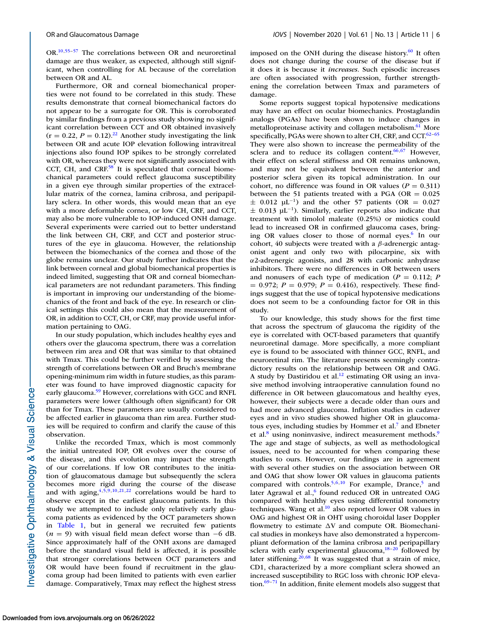OR[.10,](#page-6-0)[55–57](#page-7-0) The correlations between OR and neuroretinal damage are thus weaker, as expected, although still significant, when controlling for AL because of the correlation between OR and AL.

Furthermore, OR and corneal biomechanical properties were not found to be correlated in this study. These results demonstrate that corneal biomechanical factors do not appear to be a surrogate for OR. This is corroborated by similar findings from a previous study showing no significant correlation between CCT and OR obtained invasively  $(r = 0.22, P = 0.12).^{22}$  $(r = 0.22, P = 0.12).^{22}$  $(r = 0.22, P = 0.12).^{22}$  Another study investigating the link between OR and acute IOP elevation following intravitreal injections also found IOP spikes to be strongly correlated with OR, whereas they were not significantly associated with CCT, CH, and CRF.<sup>58</sup> It is speculated that corneal biomechanical parameters could reflect glaucoma susceptibility in a given eye through similar properties of the extracellular matrix of the cornea, lamina cribrosa, and peripapillary sclera. In other words, this would mean that an eye with a more deformable cornea, or low CH, CRF, and CCT, may also be more vulnerable to IOP-induced ONH damage. Several experiments were carried out to better understand the link between CH, CRF, and CCT and posterior structures of the eye in glaucoma. However, the relationship between the biomechanics of the cornea and those of the globe remains unclear. Our study further indicates that the link between corneal and global biomechanical properties is indeed limited, suggesting that OR and corneal biomechanical parameters are not redundant parameters. This finding is important in improving our understanding of the biomechanics of the front and back of the eye. In research or clinical settings this could also mean that the measurement of OR, in addition to CCT, CH, or CRF, may provide useful information pertaining to OAG.

In our study population, which includes healthy eyes and others over the glaucoma spectrum, there was a correlation between rim area and OR that was similar to that obtained with Tmax. This could be further verified by assessing the strength of correlations between OR and Bruch's membrane opening-minimum rim width in future studies, as this parameter was found to have improved diagnostic capacity for early glaucoma.<sup>59</sup> However, correlations with GCC and RNFL parameters were lower (although often significant) for OR than for Tmax. These parameters are usually considered to be affected earlier in glaucoma than rim area. Further studies will be required to confirm and clarify the cause of this observation.

Unlike the recorded Tmax, which is most commonly the initial untreated IOP, OR evolves over the course of the disease, and this evolution may impact the strength of our correlations. If low OR contributes to the initiation of glaucomatous damage but subsequently the sclera becomes more rigid during the course of the disease and with aging,  $4,5,9,10,21,22$  correlations would be hard to observe except in the earliest glaucoma patients. In this study we attempted to include only relatively early glaucoma patients as evidenced by the OCT parameters shown in [Table 1,](#page-2-0) but in general we recruited few patients  $(n = 9)$  with visual field mean defect worse than  $-6$  dB. Since approximately half of the ONH axons are damaged before the standard visual field is affected, it is possible that stronger correlations between OCT parameters and OR would have been found if recruitment in the glaucoma group had been limited to patients with even earlier damage. Comparatively, Tmax may reflect the highest stress

imposed on the ONH during the disease history. $60$  It often does not change during the course of the disease but if it does it is because it *increases*. Such episodic increases are often associated with progression, further strengthening the correlation between Tmax and parameters of damage.

Some reports suggest topical hypotensive medications may have an effect on ocular biomechanics. Prostaglandin analogs (PGAs) have been shown to induce changes in metalloproteinase activity and collagen metabolism.<sup>61</sup> More specifically, PGAs were shown to alter CH, CRF, and CCT. $62-65$ They were also shown to increase the permeability of the sclera and to reduce its collagen content. $66,67$  However, their effect on scleral stiffness and OR remains unknown, and may not be equivalent between the anterior and posterior sclera given its topical administration. In our cohort, no difference was found in OR values ( $P = 0.311$ ) between the 51 patients treated with a PGA (OR  $= 0.025$ )  $\pm$  0.012  $\mu$ L<sup>-1</sup>) and the other 57 patients (OR = 0.027  $±$  0.013  $\mu$ L<sup>-1</sup>). Similarly, earlier reports also indicate that treatment with timolol maleate (0.25%) or miotics could lead to increased OR in confirmed glaucoma cases, bringing OR values closer to those of normal eyes.<sup>6</sup> In our cohort, 40 subjects were treated with a β-adrenergic antagonist agent and only two with pilocarpine, six with α2-adrenergic agonists, and 28 with carbonic anhydrase inhibitors. There were no differences in OR between users and nonusers of each type of medication ( $P = 0.112$ ;  $P$  $= 0.972$ ;  $P = 0.979$ ;  $P = 0.416$ ), respectively. These findings suggest that the use of topical hypotensive medications does not seem to be a confounding factor for OR in this study.

To our knowledge, this study shows for the first time that across the spectrum of glaucoma the rigidity of the eye is correlated with OCT-based parameters that quantify neuroretinal damage. More specifically, a more compliant eye is found to be associated with thinner GCC, RNFL, and neuroretinal rim. The literature presents seemingly contradictory results on the relationship between OR and OAG. A study by Dastiridou et al.<sup>12</sup> estimating OR using an invasive method involving intraoperative cannulation found no difference in OR between glaucomatous and healthy eyes, however, their subjects were a decade older than ours and had more advanced glaucoma. Inflation studies in cadaver eyes and in vivo studies showed higher OR in glaucomatous eyes, including studies by Hommer et al.<sup>7</sup> and Ebneter et al.<sup>8</sup> using noninvasive, indirect measurement methods.<sup>9</sup> The age and stage of subjects, as well as methodological issues, need to be accounted for when comparing these studies to ours. However, our findings are in agreement with several other studies on the association between OR and OAG that show lower OR values in glaucoma patients compared with controls.<sup>5,6,10</sup> For example, Drance,<sup>5</sup> and later Agrawal et al.,<sup>6</sup> found reduced OR in untreated OAG compared with healthy eyes using differential tonometry techniques. Wang et al.<sup>10</sup> also reported lower OR values in OAG and highest OR in OHT using choroidal laser Doppler flowmetry to estimate  $\Delta V$  and compute OR. Biomechanical studies in monkeys have also demonstrated a hypercompliant deformation of the lamina cribrosa and peripapillary sclera with early experimental glaucoma, $18-20$  followed by later stiffening. $20,68$  $20,68$  It was suggested that a strain of mice, CD1, characterized by a more compliant sclera showed an increased susceptibility to RGC loss with chronic IOP elevation. $69-71$  In addition, finite element models also suggest that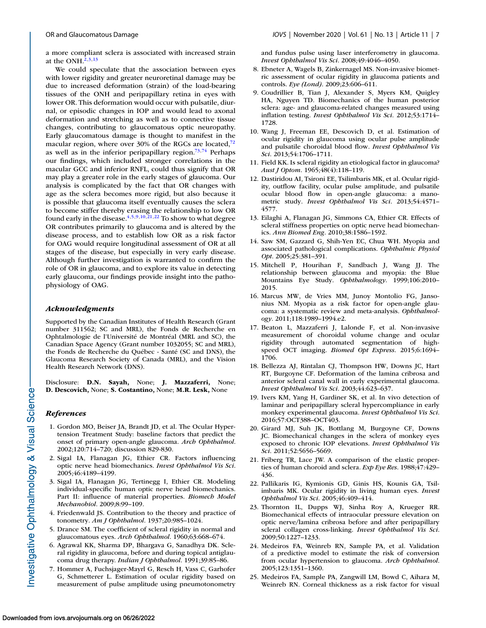<span id="page-6-0"></span>a more compliant sclera is associated with increased strain at the ONH.<sup>2,3,13</sup>

We could speculate that the association between eyes with lower rigidity and greater neuroretinal damage may be due to increased deformation (strain) of the load-bearing tissues of the ONH and peripapillary retina in eyes with lower OR. This deformation would occur with pulsatile, diurnal, or episodic changes in IOP and would lead to axonal deformation and stretching as well as to connective tissue changes, contributing to glaucomatous optic neuropathy. Early glaucomatous damage is thought to manifest in the macular region, where over 30% of the RGCs are located,<sup>72</sup> as well as in the inferior peripapillary region.<sup>73,74</sup> Perhaps our findings, which included stronger correlations in the macular GCC and inferior RNFL, could thus signify that OR may play a greater role in the early stages of glaucoma. Our analysis is complicated by the fact that OR changes with age as the sclera becomes more rigid, but also because it is possible that glaucoma itself eventually causes the sclera to become stiffer thereby erasing the relationship to low OR found early in the disease.4,5,9,10,21,22 To show to what degree OR contributes primarily to glaucoma and is altered by the disease process, and to establish low OR as a risk factor for OAG would require longitudinal assessment of OR at all stages of the disease, but especially in very early disease. Although further investigation is warranted to confirm the role of OR in glaucoma, and to explore its value in detecting early glaucoma, our findings provide insight into the pathophysiology of OAG.

### *Acknowledgments*

Supported by the Canadian Institutes of Health Research (Grant number 311562; SC and MRL), the Fonds de Recherche en Ophtalmologie de l'Université de Montréal (MRL and SC), the Canadian Space Agency (Grant number 1032055; SC and MRL), the Fonds de Recherche du Québec - Santé (SC and DNS), the Glaucoma Research Society of Canada (MRL), and the Vision Health Research Network (DNS).

Disclosure: **D.N. Sayah,** None; **J. Mazzaferri,** None; **D. Descovich,** None; **S. Costantino,** None; **M.R. Lesk,** None

# *References*

- 1. Gordon MO, Beiser JA, Brandt JD, et al. The Ocular Hypertension Treatment Study: baseline factors that predict the onset of primary open-angle glaucoma. *Arch Ophthalmol*. 2002;120:714–720; discussion 829-830.
- 2. Sigal IA, Flanagan JG, Ethier CR. Factors influencing optic nerve head biomechanics. *Invest Ophthalmol Vis Sci*. 2005;46:4189–4199.
- 3. Sigal IA, Flanagan JG, Tertinegg I, Ethier CR. Modeling individual-specific human optic nerve head biomechanics. Part II: influence of material properties. *Biomech Model Mechanobiol*. 2009;8:99–109.
- 4. Friedenwald JS. Contribution to the theory and practice of tonometry. *Am J Ophthalmol*. 1937;20:985–1024.
- 5. Drance SM. The coefficient of scleral rigidity in normal and glaucomatous eyes. *Arch Ophthalmol*. 1960;63:668–674.
- 6. Agrawal KK, Sharma DP, Bhargava G, Sanadhya DK. Scleral rigidity in glaucoma, before and during topical antiglaucoma drug therapy. *Indian J Ophthalmol*. 1991;39:85–86.
- 7. Hommer A, Fuchsjager-Mayrl G, Resch H, Vass C, Garhofer G, Schmetterer L. Estimation of ocular rigidity based on measurement of pulse amplitude using pneumotonometry

and fundus pulse using laser interferometry in glaucoma. *Invest Ophthalmol Vis Sci*. 2008;49:4046–4050.

- 8. Ebneter A, Wagels B, Zinkernagel MS. Non-invasive biometric assessment of ocular rigidity in glaucoma patients and controls. *Eye (Lond)*. 2009;23:606–611.
- 9. Coudrillier B, Tian J, Alexander S, Myers KM, Quigley HA, Nguyen TD. Biomechanics of the human posterior sclera: age- and glaucoma-related changes measured using inflation testing. *Invest Ophthalmol Vis Sci*. 2012;53:1714– 1728.
- 10. Wang J, Freeman EE, Descovich D, et al. Estimation of ocular rigidity in glaucoma using ocular pulse amplitude and pulsatile choroidal blood flow. *Invest Ophthalmol Vis Sci*. 2013;54:1706–1711.
- 11. Field KK. Is scleral rigidity an etiological factor in glaucoma? *Aust J Optom*. 1965;48(4):118–119.
- 12. Dastiridou AI, Tsironi EE, Tsilimbaris MK, et al. Ocular rigidity, outflow facility, ocular pulse amplitude, and pulsatile ocular blood flow in open-angle glaucoma: a manometric study. *Invest Ophthalmol Vis Sci*. 2013;54:4571– 4577.
- 13. Eilaghi A, Flanagan JG, Simmons CA, Ethier CR. Effects of scleral stiffness properties on optic nerve head biomechanics. *Ann Biomed Eng*. 2010;38:1586–1592.
- 14. Saw SM, Gazzard G, Shih-Yen EC, Chua WH. Myopia and associated pathological complications. *Ophthalmic Physiol Opt*. 2005;25:381–391.
- 15. Mitchell P, Hourihan F, Sandbach J, Wang JJ. The relationship between glaucoma and myopia: the Blue Mountains Eye Study. *Ophthalmology*. 1999;106:2010– 2015.
- 16. Marcus MW, de Vries MM, Junoy Montolio FG, Jansonius NM. Myopia as a risk factor for open-angle glaucoma: a systematic review and meta-analysis. *Ophthalmology*. 2011;118:1989–1994.e2.
- 17. Beaton L, Mazzaferri J, Lalonde F, et al. Non-invasive measurement of choroidal volume change and ocular rigidity through automated segmentation of highspeed OCT imaging. *Biomed Opt Express*. 2015;6:1694– 1706.
- 18. Bellezza AJ, Rintalan CJ, Thompson HW, Downs JC, Hart RT, Burgoyne CF. Deformation of the lamina cribrosa and anterior scleral canal wall in early experimental glaucoma. *Invest Ophthalmol Vis Sci*. 2003;44:623–637.
- 19. Ivers KM, Yang H, Gardiner SK, et al. In vivo detection of laminar and peripapillary scleral hypercompliance in early monkey experimental glaucoma. *Invest Ophthalmol Vis Sci*. 2016;57:OCT388–OCT403.
- 20. Girard MJ, Suh JK, Bottlang M, Burgoyne CF, Downs JC. Biomechanical changes in the sclera of monkey eyes exposed to chronic IOP elevations. *Invest Ophthalmol Vis Sci*. 2011;52:5656–5669.
- 21. Friberg TR, Lace JW. A comparison of the elastic properties of human choroid and sclera. *Exp Eye Res*. 1988;47:429– 436.
- 22. Pallikaris IG, Kymionis GD, Ginis HS, Kounis GA, Tsilimbaris MK. Ocular rigidity in living human eyes. *Invest Ophthalmol Vis Sci*. 2005;46:409–414.
- 23. Thornton IL, Dupps WJ, Sinha Roy A, Krueger RR. Biomechanical effects of intraocular pressure elevation on optic nerve/lamina cribrosa before and after peripapillary scleral collagen cross-linking. *Invest Ophthalmol Vis Sci*. 2009;50:1227–1233.
- 24. Medeiros FA, Weinreb RN, Sample PA, et al. Validation of a predictive model to estimate the risk of conversion from ocular hypertension to glaucoma. *Arch Ophthalmol*. 2005;123:1351–1360.
- 25. Medeiros FA, Sample PA, Zangwill LM, Bowd C, Aihara M, Weinreb RN. Corneal thickness as a risk factor for visual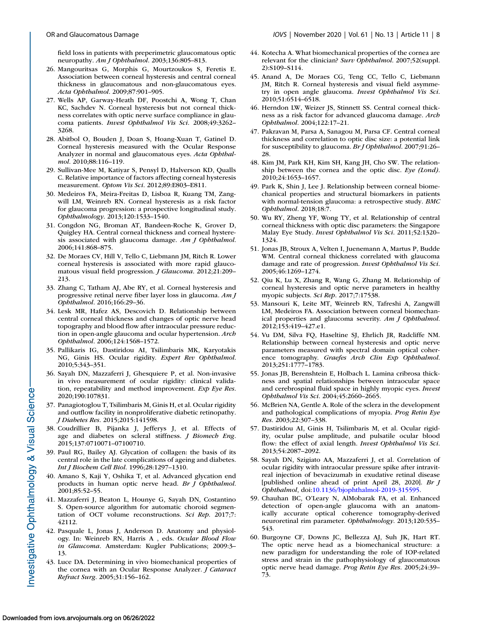<span id="page-7-0"></span>field loss in patients with preperimetric glaucomatous optic neuropathy. *Am J Ophthalmol*. 2003;136:805–813.

- 26. Mangouritsas G, Morphis G, Mourtzoukos S, Feretis E. Association between corneal hysteresis and central corneal thickness in glaucomatous and non-glaucomatous eyes. *Acta Ophthalmol*. 2009;87:901–905.
- 27. Wells AP, Garway-Heath DF, Poostchi A, Wong T, Chan KC, Sachdev N. Corneal hysteresis but not corneal thickness correlates with optic nerve surface compliance in glaucoma patients. *Invest Ophthalmol Vis Sci*. 2008;49:3262– 3268.
- 28. Abitbol O, Bouden J, Doan S, Hoang-Xuan T, Gatinel D. Corneal hysteresis measured with the Ocular Response Analyzer in normal and glaucomatous eyes. *Acta Ophthalmol*. 2010;88:116–119.
- 29. Sullivan-Mee M, Katiyar S, Pensyl D, Halverson KD, Qualls C. Relative importance of factors affecting corneal hysteresis measurement. *Optom Vis Sci*. 2012;89:E803–E811.
- 30. Medeiros FA, Meira-Freitas D, Lisboa R, Kuang TM, Zangwill LM, Weinreb RN. Corneal hysteresis as a risk factor for glaucoma progression: a prospective longitudinal study. *Ophthalmology*. 2013;120:1533–1540.
- 31. Congdon NG, Broman AT, Bandeen-Roche K, Grover D, Quigley HA. Central corneal thickness and corneal hysteresis associated with glaucoma damage. *Am J Ophthalmol*. 2006;141:868–875.
- 32. De Moraes CV, Hill V, Tello C, Liebmann JM, Ritch R. Lower corneal hysteresis is associated with more rapid glaucomatous visual field progression. *J Glaucoma*. 2012;21:209– 213.
- 33. Zhang C, Tatham AJ, Abe RY, et al. Corneal hysteresis and progressive retinal nerve fiber layer loss in glaucoma. *Am J Ophthalmol*. 2016;166:29–36.
- 34. Lesk MR, Hafez AS, Descovich D. Relationship between central corneal thickness and changes of optic nerve head topography and blood flow after intraocular pressure reduction in open-angle glaucoma and ocular hypertension. *Arch Ophthalmol*. 2006;124:1568–1572.
- 35. Pallikaris IG, Dastiridou AI, Tsilimbaris MK, Karyotakis NG, Ginis HS. Ocular rigidity. *Expert Rev Ophthalmol*. 2010;5:343–351.
- 36. Sayah DN, Mazzaferri J, Ghesquiere P, et al. Non-invasive in vivo measurement of ocular rigidity: clinical validation, repeatability and method improvement. *Exp Eye Res*. 2020;190:107831.
- 37. Panagiotoglou T, Tsilimbaris M, Ginis H, et al. Ocular rigidity and outflow facility in nonproliferative diabetic retinopathy. *J Diabetes Res*. 2015;2015:141598.
- 38. Coudrillier B, Pijanka J, Jefferys J, et al. Effects of age and diabetes on scleral stiffness. *J Biomech Eng*. 2015;137:0710071–07100710.
- 39. Paul RG, Bailey AJ. Glycation of collagen: the basis of its central role in the late complications of ageing and diabetes. *Int J Biochem Cell Biol*. 1996;28:1297–1310.
- 40. Amano S, Kaji Y, Oshika T, et al. Advanced glycation end products in human optic nerve head. *Br J Ophthalmol*. 2001;85:52–55.
- 41. Mazzaferri J, Beaton L, Hounye G, Sayah DN, Costantino S. Open-source algorithm for automatic choroid segmentation of OCT volume reconstructions. *Sci Rep*. 2017;7: 42112.
- 42. Pasquale L, Jonas J, Anderson D. Anatomy and physiology. In: Weinreb RN, Harris A , eds. *Ocular Blood Flow in Glaucoma*. Amsterdam: Kugler Publications; 2009:3– 13.
- 43. Luce DA. Determining in vivo biomechanical properties of the cornea with an Ocular Response Analyzer. *J Cataract Refract Surg*. 2005;31:156–162.
- 44. Kotecha A. What biomechanical properties of the cornea are relevant for the clinician? *Surv Ophthalmol*. 2007;52(suppl. 2):S109–S114.
- 45. Anand A, De Moraes CG, Teng CC, Tello C, Liebmann JM, Ritch R. Corneal hysteresis and visual field asymmetry in open angle glaucoma. *Invest Ophthalmol Vis Sci*. 2010;51:6514–6518.
- 46. Herndon LW, Weizer JS, Stinnett SS. Central corneal thickness as a risk factor for advanced glaucoma damage. *Arch Ophthalmol*. 2004;122:17–21.
- 47. Pakravan M, Parsa A, Sanagou M, Parsa CF. Central corneal thickness and correlation to optic disc size: a potential link for susceptibility to glaucoma. *Br J Ophthalmol*. 2007;91:26– 28.
- 48. Kim JM, Park KH, Kim SH, Kang JH, Cho SW. The relationship between the cornea and the optic disc. *Eye (Lond)*. 2010;24:1653–1657.
- 49. Park K, Shin J, Lee J. Relationship between corneal biomechanical properties and structural biomarkers in patients with normal-tension glaucoma: a retrospective study. *BMC Ophthalmol*. 2018;18:7.
- 50. Wu RY, Zheng YF, Wong TY, et al. Relationship of central corneal thickness with optic disc parameters: the Singapore Malay Eye Study. *Invest Ophthalmol Vis Sci*. 2011;52:1320– 1324.
- 51. Jonas JB, Stroux A, Velten I, Juenemann A, Martus P, Budde WM. Central corneal thickness correlated with glaucoma damage and rate of progression. *Invest Ophthalmol Vis Sci*. 2005;46:1269–1274.
- 52. Qiu K, Lu X, Zhang R, Wang G, Zhang M. Relationship of corneal hysteresis and optic nerve parameters in healthy myopic subjects. *Sci Rep*. 2017;7:17538.
- 53. Mansouri K, Leite MT, Weinreb RN, Tafreshi A, Zangwill LM, Medeiros FA. Association between corneal biomechanical properties and glaucoma severity. *Am J Ophthalmol*. 2012;153:419–427.e1.
- 54. Vu DM, Silva FQ, Haseltine SJ, Ehrlich JR, Radcliffe NM. Relationship between corneal hysteresis and optic nerve parameters measured with spectral domain optical coherence tomography. *Graefes Arch Clin Exp Ophthalmol*. 2013;251:1777–1783.
- 55. Jonas JB, Berenshtein E, Holbach L. Lamina cribrosa thickness and spatial relationships between intraocular space and cerebrospinal fluid space in highly myopic eyes. *Invest Ophthalmol Vis Sci*. 2004;45:2660–2665.
- 56. McBrien NA, Gentle A. Role of the sclera in the development and pathological complications of myopia. *Prog Retin Eye Res*. 2003;22:307–338.
- 57. Dastiridou AI, Ginis H, Tsilimbaris M, et al. Ocular rigidity, ocular pulse amplitude, and pulsatile ocular blood flow: the effect of axial length. *Invest Ophthalmol Vis Sci*. 2013;54:2087–2092.
- 58. Sayah DN, Szigiato AA, Mazzaferri J, et al. Correlation of ocular rigidity with intraocular pressure spike after intravitreal injection of bevacizumab in exudative retinal disease [published online ahead of print April 28, 2020]. *Br J Ophthalmol*, doi[:10.1136/bjophthalmol-2019-315595.](http://doi.org/10.1136/bjophthalmol-2019-315595)
- 59. Chauhan BC, O'Leary N, AlMobarak FA, et al. Enhanced detection of open-angle glaucoma with an anatomically accurate optical coherence tomography-derived neuroretinal rim parameter. *Ophthalmology*. 2013;120:535– 543.
- 60. Burgoyne CF, Downs JC, Bellezza AJ, Suh JK, Hart RT. The optic nerve head as a biomechanical structure: a new paradigm for understanding the role of IOP-related stress and strain in the pathophysiology of glaucomatous optic nerve head damage. *Prog Retin Eye Res*. 2005;24:39– 73.

Investigative Ophthalmology & Visual Science